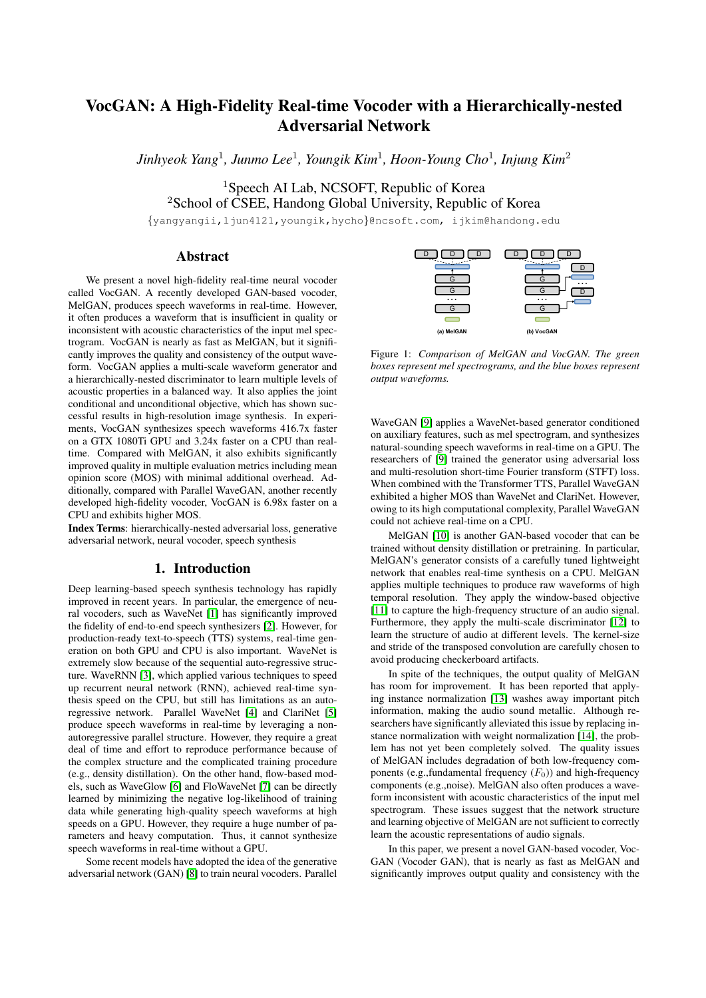# VocGAN: A High-Fidelity Real-time Vocoder with a Hierarchically-nested Adversarial Network

*Jinhyeok Yang*<sup>1</sup> *, Junmo Lee*<sup>1</sup> *, Youngik Kim*<sup>1</sup> *, Hoon-Young Cho*<sup>1</sup> *, Injung Kim*<sup>2</sup>

<sup>1</sup>Speech AI Lab, NCSOFT, Republic of Korea <sup>2</sup>School of CSEE, Handong Global University, Republic of Korea

{yangyangii,ljun4121,youngik,hycho}@ncsoft.com, ijkim@handong.edu

# Abstract

We present a novel high-fidelity real-time neural vocoder called VocGAN. A recently developed GAN-based vocoder, MelGAN, produces speech waveforms in real-time. However, it often produces a waveform that is insufficient in quality or inconsistent with acoustic characteristics of the input mel spectrogram. VocGAN is nearly as fast as MelGAN, but it significantly improves the quality and consistency of the output waveform. VocGAN applies a multi-scale waveform generator and a hierarchically-nested discriminator to learn multiple levels of acoustic properties in a balanced way. It also applies the joint conditional and unconditional objective, which has shown successful results in high-resolution image synthesis. In experiments, VocGAN synthesizes speech waveforms 416.7x faster on a GTX 1080Ti GPU and 3.24x faster on a CPU than realtime. Compared with MelGAN, it also exhibits significantly improved quality in multiple evaluation metrics including mean opinion score (MOS) with minimal additional overhead. Additionally, compared with Parallel WaveGAN, another recently developed high-fidelity vocoder, VocGAN is 6.98x faster on a CPU and exhibits higher MOS.

Index Terms: hierarchically-nested adversarial loss, generative adversarial network, neural vocoder, speech synthesis

# 1. Introduction

Deep learning-based speech synthesis technology has rapidly improved in recent years. In particular, the emergence of neural vocoders, such as WaveNet [\[1\]](#page-4-0) has significantly improved the fidelity of end-to-end speech synthesizers [\[2\]](#page-4-1). However, for production-ready text-to-speech (TTS) systems, real-time generation on both GPU and CPU is also important. WaveNet is extremely slow because of the sequential auto-regressive structure. WaveRNN [\[3\]](#page-4-2), which applied various techniques to speed up recurrent neural network (RNN), achieved real-time synthesis speed on the CPU, but still has limitations as an autoregressive network. Parallel WaveNet [\[4\]](#page-4-3) and ClariNet [\[5\]](#page-4-4) produce speech waveforms in real-time by leveraging a nonautoregressive parallel structure. However, they require a great deal of time and effort to reproduce performance because of the complex structure and the complicated training procedure (e.g., density distillation). On the other hand, flow-based models, such as WaveGlow [\[6\]](#page-4-5) and FloWaveNet [\[7\]](#page-4-6) can be directly learned by minimizing the negative log-likelihood of training data while generating high-quality speech waveforms at high speeds on a GPU. However, they require a huge number of parameters and heavy computation. Thus, it cannot synthesize speech waveforms in real-time without a GPU. We present a novel high-field it relation return is reach that in the system of the system of the system of the system of the system of the system of the system of the system of the system of the system of the system of t

Some recent models have adopted the idea of the generative

<span id="page-0-0"></span>

Figure 1: *Comparison of MelGAN and VocGAN. The green boxes represent mel spectrograms, and the blue boxes represent output waveforms.*

WaveGAN [\[9\]](#page-4-8) applies a WaveNet-based generator conditioned on auxiliary features, such as mel spectrogram, and synthesizes natural-sounding speech waveforms in real-time on a GPU. The researchers of [\[9\]](#page-4-8) trained the generator using adversarial loss and multi-resolution short-time Fourier transform (STFT) loss. When combined with the Transformer TTS, Parallel WaveGAN exhibited a higher MOS than WaveNet and ClariNet. However, owing to its high computational complexity, Parallel WaveGAN could not achieve real-time on a CPU.

MelGAN [\[10\]](#page-4-9) is another GAN-based vocoder that can be trained without density distillation or pretraining. In particular, MelGAN's generator consists of a carefully tuned lightweight network that enables real-time synthesis on a CPU. MelGAN applies multiple techniques to produce raw waveforms of high temporal resolution. They apply the window-based objective [\[11\]](#page-4-10) to capture the high-frequency structure of an audio signal. Furthermore, they apply the multi-scale discriminator [\[12\]](#page-4-11) to learn the structure of audio at different levels. The kernel-size and stride of the transposed convolution are carefully chosen to avoid producing checkerboard artifacts.

In spite of the techniques, the output quality of MelGAN has room for improvement. It has been reported that applying instance normalization [\[13\]](#page-4-12) washes away important pitch information, making the audio sound metallic. Although researchers have significantly alleviated this issue by replacing instance normalization with weight normalization [\[14\]](#page-4-13), the problem has not yet been completely solved. The quality issues of MelGAN includes degradation of both low-frequency components (e.g., fundamental frequency  $(F_0)$ ) and high-frequency components (e.g.,noise). MelGAN also often produces a waveform inconsistent with acoustic characteristics of the input mel spectrogram. These issues suggest that the network structure and learning objective of MelGAN are not sufficient to correctly learn the acoustic representations of audio signals.

In this paper, we present a novel GAN-based vocoder, Voc-GAN (Vocoder GAN), that is nearly as fast as MelGAN and significantly improves output quality and consistency with the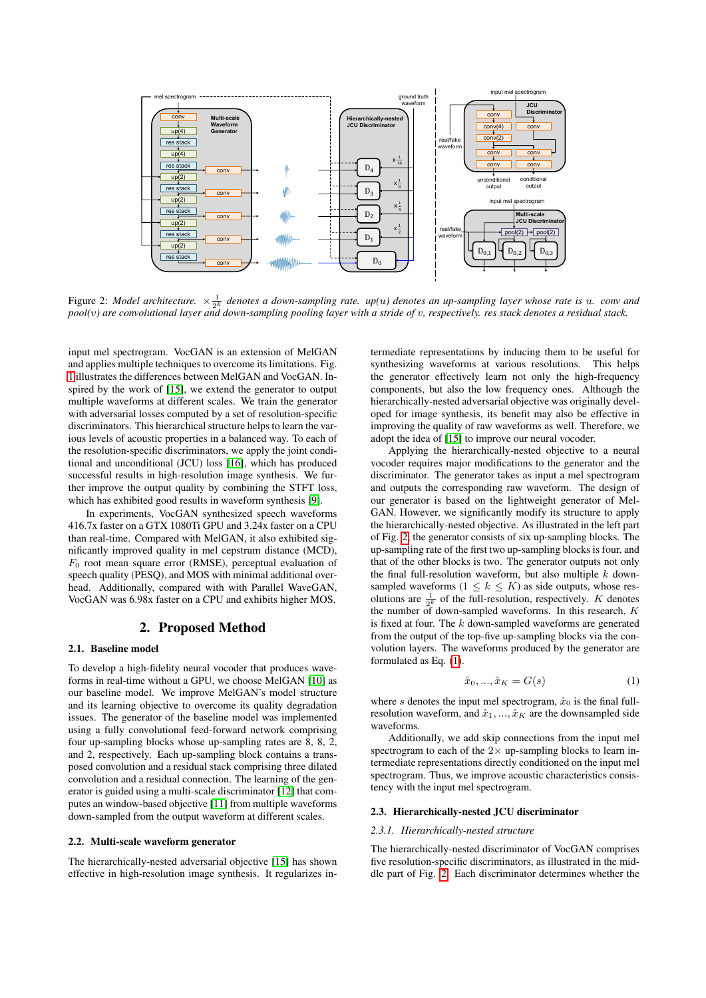<span id="page-1-0"></span>

Figure 2: Model architecture.  $\times \frac{1}{2^k}$  denotes a down-sampling rate. up(u) denotes an up-sampling layer whose rate is u. conv and *pool(*v*) are convolutional layer and down-sampling pooling layer with a stride of* v*, respectively. res stack denotes a residual stack.*

input mel spectrogram. VocGAN is an extension of MelGAN and applies multiple techniques to overcome its limitations. Fig. [1](#page-0-0) illustrates the differences between MelGAN and VocGAN. Inspired by the work of [\[15\]](#page-4-14), we extend the generator to output multiple waveforms at different scales. We train the generator with adversarial losses computed by a set of resolution-specific discriminators. This hierarchical structure helps to learn the various levels of acoustic properties in a balanced way. To each of the resolution-specific discriminators, we apply the joint conditional and unconditional (JCU) loss [\[16\]](#page-4-15), which has produced successful results in high-resolution image synthesis. We further improve the output quality by combining the STFT loss, which has exhibited good results in waveform synthesis [\[9\]](#page-4-8).

In experiments, VocGAN synthesized speech waveforms 416.7x faster on a GTX 1080Ti GPU and 3.24x faster on a CPU than real-time. Compared with MelGAN, it also exhibited significantly improved quality in mel cepstrum distance (MCD),  $F_0$  root mean square error (RMSE), perceptual evaluation of speech quality (PESQ), and MOS with minimal additional overhead. Additionally, compared with with Parallel WaveGAN, VocGAN was 6.98x faster on a CPU and exhibits higher MOS.

# 2. Proposed Method

### 2.1. Baseline model

To develop a high-fidelity neural vocoder that produces waveforms in real-time without a GPU, we choose MelGAN [\[10\]](#page-4-9) as our baseline model. We improve MelGAN's model structure and its learning objective to overcome its quality degradation issues. The generator of the baseline model was implemented using a fully convolutional feed-forward network comprising four up-sampling blocks whose up-sampling rates are 8, 8, 2, and 2, respectively. Each up-sampling block contains a transposed convolution and a residual stack comprising three dilated convolution and a residual connection. The learning of the generator is guided using a multi-scale discriminator [\[12\]](#page-4-11) that computes an window-based objective [\[11\]](#page-4-10) from multiple waveforms down-sampled from the output waveform at different scales.

### 2.2. Multi-scale waveform generator

The hierarchically-nested adversarial objective [\[15\]](#page-4-14) has shown effective in high-resolution image synthesis. It regularizes intermediate representations by inducing them to be useful for synthesizing waveforms at various resolutions. This helps the generator effectively learn not only the high-frequency components, but also the low frequency ones. Although the hierarchically-nested adversarial objective was originally developed for image synthesis, its benefit may also be effective in improving the quality of raw waveforms as well. Therefore, we adopt the idea of [\[15\]](#page-4-14) to improve our neural vocoder.

Applying the hierarchically-nested objective to a neural vocoder requires major modifications to the generator and the discriminator. The generator takes as input a mel spectrogram and outputs the corresponding raw waveform. The design of our generator is based on the lightweight generator of Mel-GAN. However, we significantly modify its structure to apply the hierarchically-nested objective. As illustrated in the left part of Fig. [2,](#page-1-0) the generator consists of six up-sampling blocks. The up-sampling rate of the first two up-sampling blocks is four, and that of the other blocks is two. The generator outputs not only the final full-resolution waveform, but also multiple  $k$  downsampled waveforms  $(1 \leq k \leq K)$  as side outputs, whose resolutions are  $\frac{1}{2k}$  of the full-resolution, respectively. K denotes the number of down-sampled waveforms. In this research,  $K$ is fixed at four. The  $k$  down-sampled waveforms are generated from the output of the top-five up-sampling blocks via the convolution layers. The waveforms produced by the generator are formulated as Eq. [\(1\)](#page-1-1).

<span id="page-1-1"></span>
$$
\hat{x}_0, ..., \hat{x}_K = G(s)
$$
 (1)

where s denotes the input mel spectrogram,  $\hat{x}_0$  is the final fullresolution waveform, and  $\hat{x}_1, \dots, \hat{x}_K$  are the downsampled side waveforms.

Additionally, we add skip connections from the input mel spectrogram to each of the  $2\times$  up-sampling blocks to learn intermediate representations directly conditioned on the input mel spectrogram. Thus, we improve acoustic characteristics consistency with the input mel spectrogram.

### 2.3. Hierarchically-nested JCU discriminator

#### *2.3.1. Hierarchically-nested structure*

The hierarchically-nested discriminator of VocGAN comprises five resolution-specific discriminators, as illustrated in the middle part of Fig. [2.](#page-1-0) Each discriminator determines whether the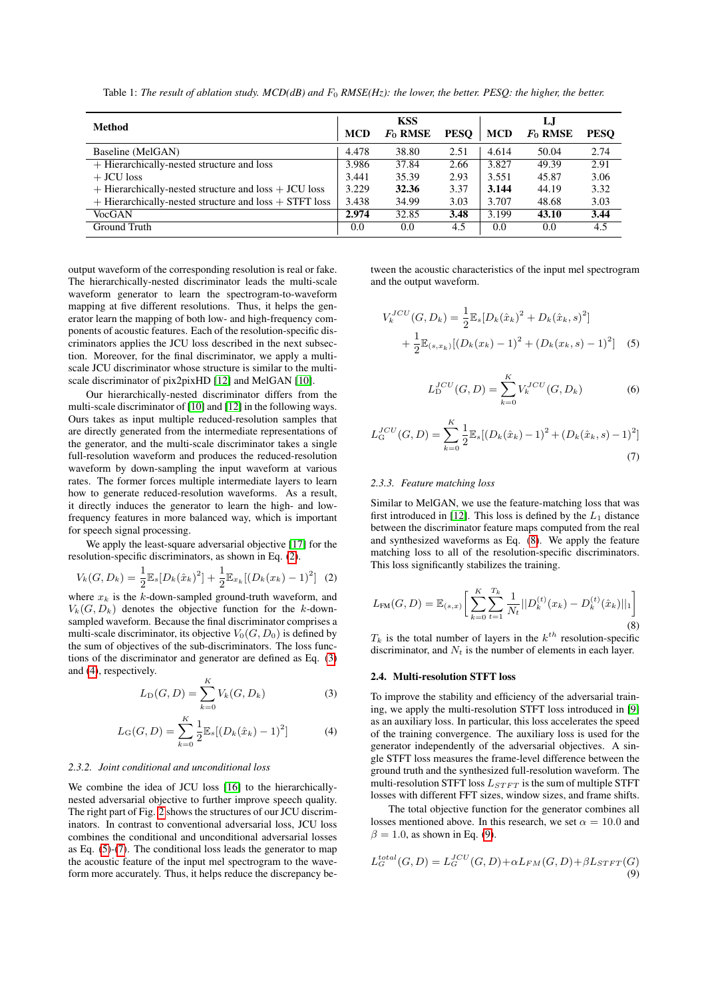<span id="page-2-7"></span>

| <b>Method</b>                                              | <b>MCD</b> | <b>KSS</b><br>$F_0$ RMSE | <b>PESO</b> | <b>MCD</b> | L.J<br>$F_0$ RMSE | <b>PESO</b> |
|------------------------------------------------------------|------------|--------------------------|-------------|------------|-------------------|-------------|
| Baseline (MelGAN)                                          | 4.478      | 38.80                    | 2.51        | 4.614      | 50.04             | 2.74        |
| + Hierarchically-nested structure and loss                 | 3.986      | 37.84                    | 2.66        | 3.827      | 49.39             | 2.91        |
| $+$ JCU loss                                               | 3.441      | 35.39                    | 2.93        | 3.551      | 45.87             | 3.06        |
| $+$ Hierarchically-nested structure and loss $+$ JCU loss  | 3.229      | 32.36                    | 3.37        | 3.144      | 44.19             | 3.32        |
| $+$ Hierarchically-nested structure and loss $+$ STFT loss | 3.438      | 34.99                    | 3.03        | 3.707      | 48.68             | 3.03        |
| VocGAN                                                     | 2.974      | 32.85                    | 3.48        | 3.199      | 43.10             | 3.44        |
| Ground Truth                                               | 0.0        | 0.0                      | 4.5         | 0.0        | 0.0               | 4.5         |

Table 1: *The result of ablation study. MCD(dB) and* F<sup>0</sup> *RMSE(Hz): the lower, the better. PESQ: the higher, the better.*

output waveform of the corresponding resolution is real or fake. The hierarchically-nested discriminator leads the multi-scale waveform generator to learn the spectrogram-to-waveform mapping at five different resolutions. Thus, it helps the generator learn the mapping of both low- and high-frequency components of acoustic features. Each of the resolution-specific discriminators applies the JCU loss described in the next subsection. Moreover, for the final discriminator, we apply a multiscale JCU discriminator whose structure is similar to the multiscale discriminator of pix2pixHD [\[12\]](#page-4-11) and MelGAN [\[10\]](#page-4-9).

Our hierarchically-nested discriminator differs from the multi-scale discriminator of [\[10\]](#page-4-9) and [\[12\]](#page-4-11) in the following ways. Ours takes as input multiple reduced-resolution samples that are directly generated from the intermediate representations of the generator, and the multi-scale discriminator takes a single full-resolution waveform and produces the reduced-resolution waveform by down-sampling the input waveform at various rates. The former forces multiple intermediate layers to learn how to generate reduced-resolution waveforms. As a result, it directly induces the generator to learn the high- and lowfrequency features in more balanced way, which is important for speech signal processing.

We apply the least-square adversarial objective [\[17\]](#page-4-16) for the resolution-specific discriminators, as shown in Eq. [\(2\)](#page-2-0).

<span id="page-2-0"></span>
$$
V_k(G, D_k) = \frac{1}{2} \mathbb{E}_s[D_k(\hat{x}_k)^2] + \frac{1}{2} \mathbb{E}_{x_k}[(D_k(x_k) - 1)^2] \tag{2}
$$

where  $x_k$  is the k-down-sampled ground-truth waveform, and  $V_k(G, D_k)$  denotes the objective function for the k-downsampled waveform. Because the final discriminator comprises a multi-scale discriminator, its objective  $V_0(G, D_0)$  is defined by the sum of objectives of the sub-discriminators. The loss functions of the discriminator and generator are defined as Eq. [\(3\)](#page-2-1) and [\(4\)](#page-2-2), respectively.

<span id="page-2-1"></span>
$$
L_D(G, D) = \sum_{k=0}^{K} V_k(G, D_k)
$$
 (3)

<span id="page-2-2"></span>
$$
L_{\mathcal{G}}(G, D) = \sum_{k=0}^{K} \frac{1}{2} \mathbb{E}_{s} [(D_{k}(\hat{x}_{k}) - 1)^{2}] \tag{4}
$$

#### *2.3.2. Joint conditional and unconditional loss*

We combine the idea of JCU loss [\[16\]](#page-4-15) to the hierarchicallynested adversarial objective to further improve speech quality. The right part of Fig. [2](#page-1-0) shows the structures of our JCU discriminators. In contrast to conventional adversarial loss, JCU loss combines the conditional and unconditional adversarial losses as Eq. [\(5\)](#page-2-3)-[\(7\)](#page-2-4). The conditional loss leads the generator to map the acoustic feature of the input mel spectrogram to the waveform more accurately. Thus, it helps reduce the discrepancy between the acoustic characteristics of the input mel spectrogram and the output waveform.

$$
V_k^{JCU}(G, D_k) = \frac{1}{2} \mathbb{E}_s [D_k(\hat{x}_k)^2 + D_k(\hat{x}_k, s)^2]
$$
  
+ 
$$
\frac{1}{2} \mathbb{E}_{(s, x_k)} [(D_k(x_k) - 1)^2 + (D_k(x_k, s) - 1)^2]
$$
(5)

<span id="page-2-3"></span>
$$
L_{\mathcal{D}}^{JCU}(G,D) = \sum_{k=0}^{K} V_k^{JCU}(G,D_k)
$$
 (6)

<span id="page-2-4"></span>
$$
L_{\mathcal{G}}^{JCU}(G,D) = \sum_{k=0}^{K} \frac{1}{2} \mathbb{E}_{s} [(D_{k}(\hat{x}_{k}) - 1)^{2} + (D_{k}(\hat{x}_{k}, s) - 1)^{2}]
$$
\n(7)

#### *2.3.3. Feature matching loss*

Similar to MelGAN, we use the feature-matching loss that was first introduced in [\[12\]](#page-4-11). This loss is defined by the  $L_1$  distance between the discriminator feature maps computed from the real and synthesized waveforms as Eq. [\(8\)](#page-2-5). We apply the feature matching loss to all of the resolution-specific discriminators. This loss significantly stabilizes the training.

<span id="page-2-5"></span>
$$
L_{\text{FM}}(G, D) = \mathbb{E}_{(s,x)} \bigg[ \sum_{k=0}^{K} \sum_{t=1}^{T_k} \frac{1}{N_t} ||D_k^{(t)}(x_k) - D_k^{(t)}(\hat{x}_k)||_1 \bigg] \tag{8}
$$

 $T_k$  is the total number of layers in the  $k^{th}$  resolution-specific discriminator, and  $N_t$  is the number of elements in each layer.

### 2.4. Multi-resolution STFT loss

To improve the stability and efficiency of the adversarial training, we apply the multi-resolution STFT loss introduced in [\[9\]](#page-4-8) as an auxiliary loss. In particular, this loss accelerates the speed of the training convergence. The auxiliary loss is used for the generator independently of the adversarial objectives. A single STFT loss measures the frame-level difference between the ground truth and the synthesized full-resolution waveform. The multi-resolution STFT loss  $L_{STFT}$  is the sum of multiple STFT losses with different FFT sizes, window sizes, and frame shifts.

The total objective function for the generator combines all losses mentioned above. In this research, we set  $\alpha = 10.0$  and  $\beta = 1.0$ , as shown in Eq. [\(9\)](#page-2-6).

<span id="page-2-6"></span>
$$
L_G^{total}(G, D) = L_G^{JCU}(G, D) + \alpha L_{FM}(G, D) + \beta L_{STFT}(G)
$$
\n(9)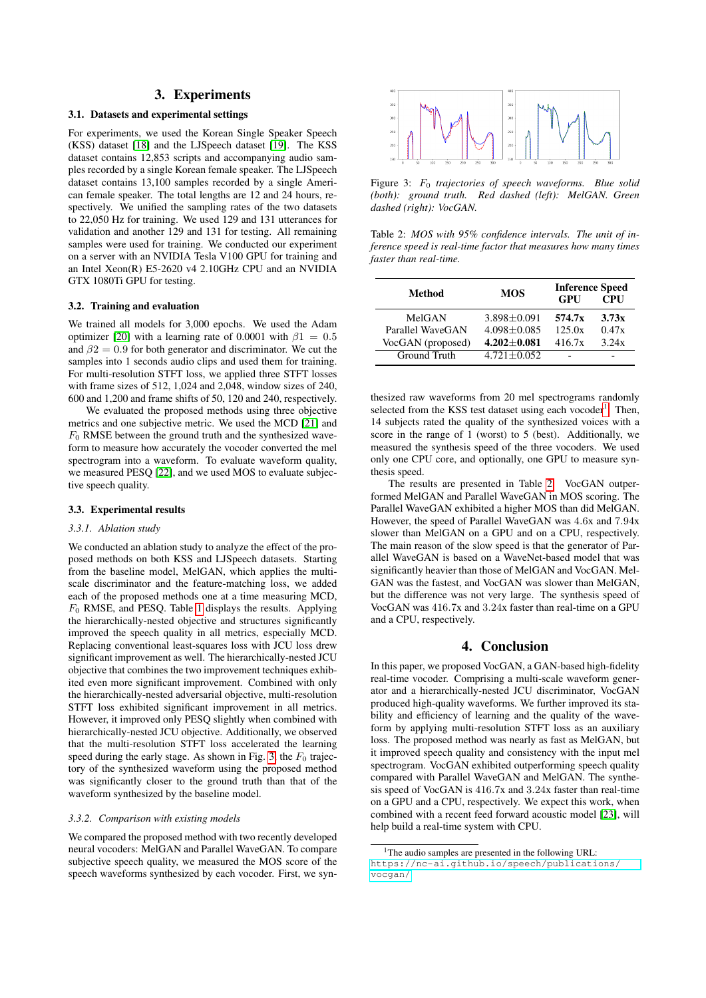## 3. Experiments

### 3.1. Datasets and experimental settings

For experiments, we used the Korean Single Speaker Speech (KSS) dataset [\[18\]](#page-4-17) and the LJSpeech dataset [\[19\]](#page-4-18). The KSS dataset contains 12,853 scripts and accompanying audio samples recorded by a single Korean female speaker. The LJSpeech dataset contains 13,100 samples recorded by a single American female speaker. The total lengths are 12 and 24 hours, respectively. We unified the sampling rates of the two datasets to 22,050 Hz for training. We used 129 and 131 utterances for validation and another 129 and 131 for testing. All remaining samples were used for training. We conducted our experiment on a server with an NVIDIA Tesla V100 GPU for training and an Intel Xeon(R) E5-2620 v4 2.10GHz CPU and an NVIDIA GTX 1080Ti GPU for testing.

### 3.2. Training and evaluation

We trained all models for 3,000 epochs. We used the Adam optimizer [\[20\]](#page-4-19) with a learning rate of 0.0001 with  $\beta$ 1 = 0.5 and  $\beta$ 2 = 0.9 for both generator and discriminator. We cut the samples into 1 seconds audio clips and used them for training. For multi-resolution STFT loss, we applied three STFT losses with frame sizes of 512, 1,024 and 2,048, window sizes of 240, 600 and 1,200 and frame shifts of 50, 120 and 240, respectively.

We evaluated the proposed methods using three objective metrics and one subjective metric. We used the MCD [\[21\]](#page-4-20) and  $F_0$  RMSE between the ground truth and the synthesized waveform to measure how accurately the vocoder converted the mel spectrogram into a waveform. To evaluate waveform quality, we measured PESQ [\[22\]](#page-4-21), and we used MOS to evaluate subjective speech quality.

#### 3.3. Experimental results

#### *3.3.1. Ablation study*

We conducted an ablation study to analyze the effect of the proposed methods on both KSS and LJSpeech datasets. Starting from the baseline model, MelGAN, which applies the multiscale discriminator and the feature-matching loss, we added each of the proposed methods one at a time measuring MCD,  $F_0$  RMSE, and PESQ. Table [1](#page-2-7) displays the results. Applying the hierarchically-nested objective and structures significantly improved the speech quality in all metrics, especially MCD. Replacing conventional least-squares loss with JCU loss drew significant improvement as well. The hierarchically-nested JCU objective that combines the two improvement techniques exhibited even more significant improvement. Combined with only the hierarchically-nested adversarial objective, multi-resolution STFT loss exhibited significant improvement in all metrics. However, it improved only PESQ slightly when combined with hierarchically-nested JCU objective. Additionally, we observed that the multi-resolution STFT loss accelerated the learning speed during the early stage. As shown in Fig. [3,](#page-3-0) the  $F_0$  trajectory of the synthesized waveform using the proposed method was significantly closer to the ground truth than that of the waveform synthesized by the baseline model.

#### *3.3.2. Comparison with existing models*

We compared the proposed method with two recently developed neural vocoders: MelGAN and Parallel WaveGAN. To compare subjective speech quality, we measured the MOS score of the speech waveforms synthesized by each vocoder. First, we syn-

<span id="page-3-0"></span>

Figure 3: F<sup>0</sup> *trajectories of speech waveforms. Blue solid (both): ground truth. Red dashed (left): MelGAN. Green dashed (right): VocGAN.*

<span id="page-3-2"></span>Table 2: *MOS with 95% confidence intervals. The unit of inference speed is real-time factor that measures how many times faster than real-time.*

| Method            | <b>MOS</b>        | <b>Inference Speed</b><br>GPU | <b>CPU</b> |
|-------------------|-------------------|-------------------------------|------------|
| MelGAN            | $3.898 \pm 0.091$ | 574.7x                        | 3.73x      |
| Parallel WaveGAN  | $4.098 + 0.085$   | 125.0x                        | 0.47x      |
| VocGAN (proposed) | $4.202 + 0.081$   | 416.7x                        | 3.24x      |
| Ground Truth      | $4.721 + 0.052$   |                               |            |

thesized raw waveforms from 20 mel spectrograms randomly selected from the KSS test dataset using each vocoder<sup>[1](#page-3-1)</sup>. Then, 14 subjects rated the quality of the synthesized voices with a score in the range of 1 (worst) to 5 (best). Additionally, we measured the synthesis speed of the three vocoders. We used only one CPU core, and optionally, one GPU to measure synthesis speed.

The results are presented in Table [2.](#page-3-2) VocGAN outperformed MelGAN and Parallel WaveGAN in MOS scoring. The Parallel WaveGAN exhibited a higher MOS than did MelGAN. However, the speed of Parallel WaveGAN was 4.6x and 7.94x slower than MelGAN on a GPU and on a CPU, respectively. The main reason of the slow speed is that the generator of Parallel WaveGAN is based on a WaveNet-based model that was significantly heavier than those of MelGAN and VocGAN. Mel-GAN was the fastest, and VocGAN was slower than MelGAN, but the difference was not very large. The synthesis speed of VocGAN was 416.7x and 3.24x faster than real-time on a GPU and a CPU, respectively.

# 4. Conclusion

In this paper, we proposed VocGAN, a GAN-based high-fidelity real-time vocoder. Comprising a multi-scale waveform generator and a hierarchically-nested JCU discriminator, VocGAN produced high-quality waveforms. We further improved its stability and efficiency of learning and the quality of the waveform by applying multi-resolution STFT loss as an auxiliary loss. The proposed method was nearly as fast as MelGAN, but it improved speech quality and consistency with the input mel spectrogram. VocGAN exhibited outperforming speech quality compared with Parallel WaveGAN and MelGAN. The synthesis speed of VocGAN is 416.7x and 3.24x faster than real-time on a GPU and a CPU, respectively. We expect this work, when combined with a recent feed forward acoustic model [\[23\]](#page-4-22), will help build a real-time system with CPU.

<span id="page-3-1"></span><sup>&</sup>lt;sup>1</sup>The audio samples are presented in the following URL: [https://nc-ai.github.io/speech/publications/](https://nc-ai.github.io/speech/publications/vocgan/) [vocgan/](https://nc-ai.github.io/speech/publications/vocgan/)